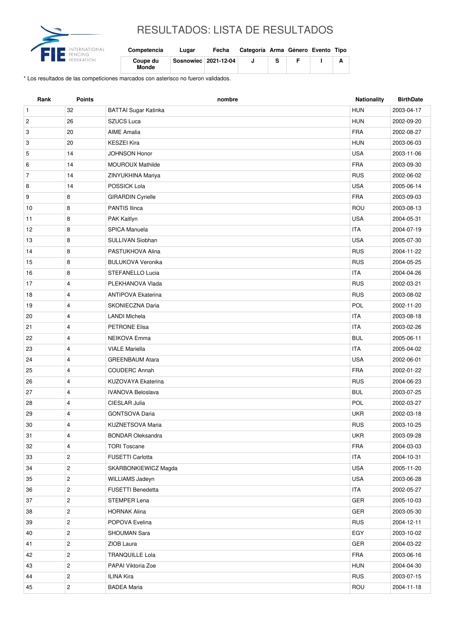

## RESULTADOS: LISTA DE RESULTADOS

| Competencia       | Lugar                  | Fecha | Categoría Arma Género Evento Tipo |  |  |
|-------------------|------------------------|-------|-----------------------------------|--|--|
| Coupe du<br>Monde | Sosnowiec   2021-12-04 |       |                                   |  |  |

\* Los resultados de las competiciones marcados con asterisco no fueron validados.

| Rank           | <b>Points</b>           | nombre                      | <b>Nationality</b> | <b>BirthDate</b> |
|----------------|-------------------------|-----------------------------|--------------------|------------------|
| $\mathbf{1}$   | 32                      | <b>BATTAI Sugar Katinka</b> | <b>HUN</b>         | 2003-04-17       |
| $\overline{c}$ | 26                      | <b>SZUCS Luca</b>           | <b>HUN</b>         | 2002-09-20       |
| 3              | 20                      | <b>AIME Amalia</b>          | <b>FRA</b>         | 2002-08-27       |
| 3              | 20                      | <b>KESZEI Kira</b>          | <b>HUN</b>         | 2003-06-03       |
| 5              | 14                      | <b>JOHNSON Honor</b>        | <b>USA</b>         | 2003-11-06       |
| 6              | 14                      | <b>MOUROUX Mathilde</b>     | <b>FRA</b>         | 2003-09-30       |
| $\overline{7}$ | 14                      | ZINYUKHINA Mariya           | <b>RUS</b>         | 2002-06-02       |
| 8              | 14                      | POSSICK Lola                | <b>USA</b>         | 2005-06-14       |
| 9              | 8                       | <b>GIRARDIN Cyrielle</b>    | <b>FRA</b>         | 2003-09-03       |
| 10             | 8                       | PANTIS Ilinca               | ROU                | 2003-08-13       |
| 11             | 8                       | PAK Kaitlyn                 | <b>USA</b>         | 2004-05-31       |
| 12             | 8                       | <b>SPICA Manuela</b>        | <b>ITA</b>         | 2004-07-19       |
| 13             | 8                       | SULLIVAN Siobhan            | <b>USA</b>         | 2005-07-30       |
| 14             | 8                       | PASTUKHOVA Alina            | <b>RUS</b>         | 2004-11-22       |
| 15             | 8                       | <b>BULUKOVA Veronika</b>    | <b>RUS</b>         | 2004-05-25       |
| 16             | 8                       | STEFANELLO Lucia            | <b>ITA</b>         | 2004-04-26       |
| 17             | $\overline{4}$          | PLEKHANOVA Vlada            | <b>RUS</b>         | 2002-03-21       |
| 18             | 4                       | <b>ANTIPOVA Ekaterina</b>   | <b>RUS</b>         | 2003-08-02       |
| 19             | 4                       | SKONIECZNA Daria            | POL                | 2002-11-20       |
| 20             | 4                       | <b>LANDI Michela</b>        | <b>ITA</b>         | 2003-08-18       |
| 21             | 4                       | <b>PETRONE Elisa</b>        | <b>ITA</b>         | 2003-02-26       |
| 22             | 4                       | <b>NEIKOVA Emma</b>         | <b>BUL</b>         | 2005-06-11       |
| 23             | 4                       | <b>VIALE Mariella</b>       | <b>ITA</b>         | 2005-04-02       |
| 24             | 4                       | <b>GREENBAUM Atara</b>      | <b>USA</b>         | 2002-06-01       |
| 25             | 4                       | <b>COUDERC Annah</b>        | <b>FRA</b>         | 2002-01-22       |
| 26             | $\overline{4}$          | KUZOVAYA Ekaterina          | <b>RUS</b>         | 2004-06-23       |
| 27             | 4                       | <b>IVANOVA Beloslava</b>    | <b>BUL</b>         | 2003-07-25       |
| 28             | $\overline{4}$          | CIESLAR Julia               | POL                | 2002-03-27       |
| 29             | 4                       | <b>GONTSOVA Daria</b>       | <b>UKR</b>         | 2002-03-18       |
| 30             | 4                       | <b>KUZNETSOVA Maria</b>     | <b>RUS</b>         | 2003-10-25       |
| 31             | 4                       | <b>BONDAR Oleksandra</b>    | UKR                | 2003-09-28       |
| 32             | 4                       | <b>TORI Toscane</b>         | <b>FRA</b>         | 2004-03-03       |
| 33             | $\overline{c}$          | FUSETTI Carlotta            | <b>ITA</b>         | 2004-10-31       |
| 34             | $\overline{c}$          | SKARBONKIEWICZ Magda        | <b>USA</b>         | 2005-11-20       |
| 35             | $\overline{c}$          | WILLIAMS Jadeyn             | <b>USA</b>         | 2003-06-28       |
| 36             | $\overline{c}$          | FUSETTI Benedetta           | <b>ITA</b>         | 2002-05-27       |
| 37             | $\overline{c}$          | <b>STEMPER Lena</b>         | GER                | 2005-10-03       |
| 38             | $\overline{c}$          | <b>HORNAK Alina</b>         | GER                | 2003-05-30       |
| 39             | $\overline{\mathbf{c}}$ | POPOVA Evelina              | <b>RUS</b>         | 2004-12-11       |
| 40             | $\overline{c}$          | <b>SHOUMAN Sara</b>         | EGY                | 2003-10-02       |
| 41             | $\overline{c}$          | ZIOB Laura                  | GER                | 2004-03-22       |
| 42             | $\mathbf{2}$            | <b>TRANQUILLE Lola</b>      | <b>FRA</b>         | 2003-06-16       |
| 43             | $\overline{c}$          | PAPAI Viktoria Zoe          | <b>HUN</b>         | 2004-04-30       |
| 44             | $\overline{c}$          | ILINA Kira                  | <b>RUS</b>         | 2003-07-15       |
| 45             | $\overline{c}$          | <b>BADEA Maria</b>          | ROU                | 2004-11-18       |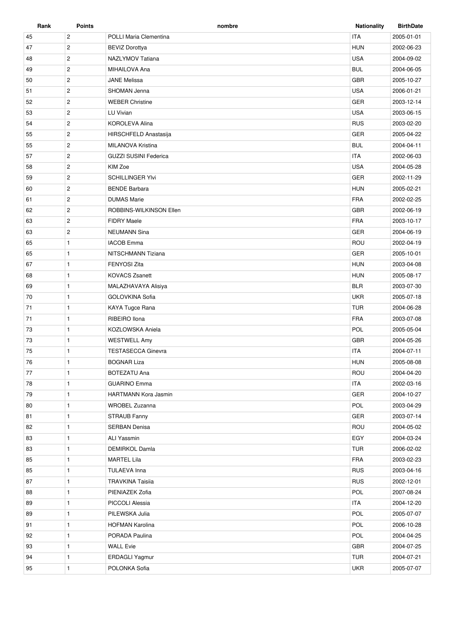| Rank | <b>Points</b>         | nombre                       | <b>Nationality</b> | <b>BirthDate</b> |
|------|-----------------------|------------------------------|--------------------|------------------|
| 45   | $\overline{c}$        | POLLI Maria Clementina       | <b>ITA</b>         | 2005-01-01       |
| 47   | $\mathbf{2}$          | <b>BEVIZ Dorottya</b>        | <b>HUN</b>         | 2002-06-23       |
| 48   | $\overline{2}$        | NAZLYMOV Tatiana             | <b>USA</b>         | 2004-09-02       |
| 49   | $\overline{2}$        | MIHAILOVA Ana                | <b>BUL</b>         | 2004-06-05       |
| 50   | $\mathbf{2}^{\prime}$ | <b>JANE Melissa</b>          | <b>GBR</b>         | 2005-10-27       |
| 51   | $\overline{2}$        | SHOMAN Jenna                 | <b>USA</b>         | 2006-01-21       |
| 52   | $\overline{2}$        | <b>WEBER Christine</b>       | <b>GER</b>         | 2003-12-14       |
| 53   | $\overline{2}$        | LU Vivian                    | <b>USA</b>         | 2003-06-15       |
| 54   | $\overline{2}$        | <b>KOROLEVA Alina</b>        | <b>RUS</b>         | 2003-02-20       |
| 55   | $\overline{2}$        | HIRSCHFELD Anastasija        | <b>GER</b>         | 2005-04-22       |
| 55   | $\overline{c}$        | MILANOVA Kristina            | <b>BUL</b>         | 2004-04-11       |
| 57   | $\mathbf{2}$          | <b>GUZZI SUSINI Federica</b> | <b>ITA</b>         | 2002-06-03       |
| 58   | $\mathbf{2}$          | KIM Zoe                      | <b>USA</b>         | 2004-05-28       |
| 59   | $\overline{2}$        | <b>SCHILLINGER YIvi</b>      | <b>GER</b>         | 2002-11-29       |
| 60   | $\overline{2}$        | <b>BENDE Barbara</b>         | <b>HUN</b>         | 2005-02-21       |
| 61   | $\mathbf{2}^{\prime}$ | <b>DUMAS Marie</b>           | <b>FRA</b>         | 2002-02-25       |
| 62   | $\overline{2}$        | ROBBINS-WILKINSON Ellen      | <b>GBR</b>         | 2002-06-19       |
| 63   | $\overline{2}$        | <b>FIDRY Maele</b>           | <b>FRA</b>         | 2003-10-17       |
| 63   | $\overline{2}$        | <b>NEUMANN Sina</b>          | <b>GER</b>         | 2004-06-19       |
| 65   | $\mathbf{1}$          | <b>IACOB</b> Emma            | ROU                | 2002-04-19       |
| 65   | $\mathbf{1}$          | NITSCHMANN Tiziana           | <b>GER</b>         | 2005-10-01       |
| 67   | $\mathbf{1}$          | <b>FENYOSI Zita</b>          | <b>HUN</b>         | 2003-04-08       |
| 68   | $\mathbf{1}$          | <b>KOVACS Zsanett</b>        | <b>HUN</b>         | 2005-08-17       |
| 69   | $\mathbf{1}$          | MALAZHAVAYA Alisiya          | <b>BLR</b>         | 2003-07-30       |
| 70   | $\mathbf{1}$          | <b>GOLOVKINA Sofia</b>       | <b>UKR</b>         | 2005-07-18       |
| 71   | $\mathbf{1}$          | KAYA Tugce Rana              | <b>TUR</b>         | 2004-06-28       |
| 71   | $\mathbf{1}$          | RIBEIRO Ilona                | <b>FRA</b>         | 2003-07-08       |
| 73   | $\mathbf{1}$          | KOZLOWSKA Aniela             | <b>POL</b>         | 2005-05-04       |
| 73   | $\mathbf{1}$          | <b>WESTWELL Amy</b>          | <b>GBR</b>         | 2004-05-26       |
| 75   | $\mathbf{1}$          | <b>TESTASECCA Ginevra</b>    | <b>ITA</b>         | 2004-07-11       |
| 76   | $\mathbf{1}$          | <b>BOGNAR Liza</b>           | <b>HUN</b>         | 2005-08-08       |
|      |                       |                              |                    |                  |
| 77   | $\mathbf{1}$          | <b>BOTEZATU Ana</b>          | ROU                | 2004-04-20       |
| 78   | $\mathbf{1}$          | <b>GUARINO Emma</b>          | <b>ITA</b>         | 2002-03-16       |
| 79   | $\mathbf{1}$          | HARTMANN Kora Jasmin         | GER                | 2004-10-27       |
| 80   | $\mathbf{1}$          | <b>WROBEL Zuzanna</b>        | POL                | 2003-04-29       |
| 81   | $\mathbf{1}$          | STRAUB Fanny                 | <b>GER</b>         | 2003-07-14       |
| 82   | $\mathbf{1}$          | <b>SERBAN Denisa</b>         | ROU                | 2004-05-02       |
| 83   | $\mathbf{1}$          | ALI Yassmin                  | EGY                | 2004-03-24       |
| 83   | $\mathbf{1}$          | <b>DEMIRKOL Damla</b>        | <b>TUR</b>         | 2006-02-02       |
| 85   | $\mathbf{1}$          | <b>MARTEL Lila</b>           | <b>FRA</b>         | 2003-02-23       |
| 85   | $\mathbf{1}$          | TULAEVA Inna                 | <b>RUS</b>         | 2003-04-16       |
| 87   | $\mathbf{1}$          | <b>TRAVKINA Taisiia</b>      | <b>RUS</b>         | 2002-12-01       |
| 88   | $\mathbf{1}$          | PIENIAZEK Zofia              | POL                | 2007-08-24       |
| 89   | 1                     | PICCOLI Alessia              | <b>ITA</b>         | 2004-12-20       |
| 89   | $\mathbf{1}$          | PILEWSKA Julia               | POL                | 2005-07-07       |
| 91   | $\mathbf{1}$          | <b>HOFMAN Karolina</b>       | POL                | 2006-10-28       |
| 92   | 1                     | PORADA Paulina               | POL                | 2004-04-25       |
| 93   | $\mathbf{1}$          | <b>WALL Evie</b>             | GBR                | 2004-07-25       |
| 94   | $\mathbf{1}$          | ERDAGLI Yagmur               | <b>TUR</b>         | 2004-07-21       |
| 95   | $\mathbf{1}$          | POLONKA Sofia                | <b>UKR</b>         | 2005-07-07       |